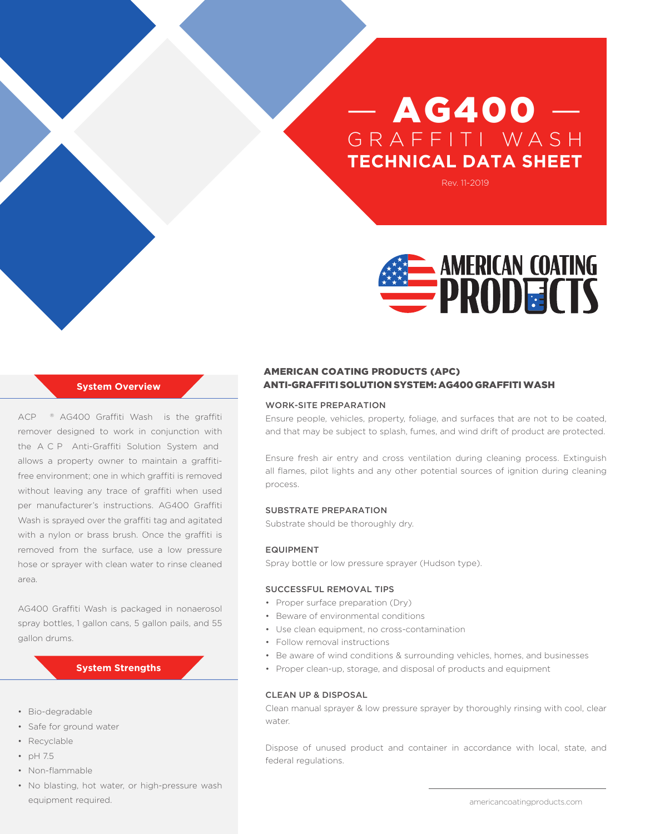# $-$  AG400 GRAFFITI WASH **TECHNICAL DATA SHEET**

Rev. 11-2019



# **System Overview**

ACP ® AG400 Graffiti Wash is the graffiti remover designed to work in conjunction with the ACP Anti-Graffiti Solution System and allows a property owner to maintain a graffitifree environment; one in which graffiti is removed without leaving any trace of graffiti when used per manufacturer's instructions. AG400 Graffiti Wash is sprayed over the graffiti tag and agitated with a nylon or brass brush. Once the graffiti is removed from the surface, use a low pressure hose or sprayer with clean water to rinse cleaned area.

AG400 Graffiti Wash is packaged in nonaerosol spray bottles, 1 gallon cans, 5 gallon pails, and 55 gallon drums.

### **System Strengths**

- Bio-degradable
- Safe for ground water
- Recyclable
- pH 7.5
- Non-flammable
- No blasting, hot water, or high-pressure wash equipment required.

# ANTI-GRAFFITI SOLUTION SYSTEM: AG400 GRAFFITI WASH AMERICAN COATING PRODUCTS (APC)

#### WORK-SITE PREPARATION

Ensure people, vehicles, property, foliage, and surfaces that are not to be coated, and that may be subject to splash, fumes, and wind drift of product are protected.

Ensure fresh air entry and cross ventilation during cleaning process. Extinguish all flames, pilot lights and any other potential sources of ignition during cleaning process.

#### SUBSTRATE PREPARATION

Substrate should be thoroughly dry.

#### EQUIPMENT

Spray bottle or low pressure sprayer (Hudson type).

### SUCCESSFUL REMOVAL TIPS

- Proper surface preparation (Dry)
- Beware of environmental conditions
- Use clean equipment, no cross-contamination
- Follow removal instructions
- Be aware of wind conditions & surrounding vehicles, homes, and businesses
- Proper clean-up, storage, and disposal of products and equipment

#### CLEAN UP & DISPOSAL

Clean manual sprayer & low pressure sprayer by thoroughly rinsing with cool, clear water.

Dispose of unused product and container in accordance with local, state, and federal regulations.